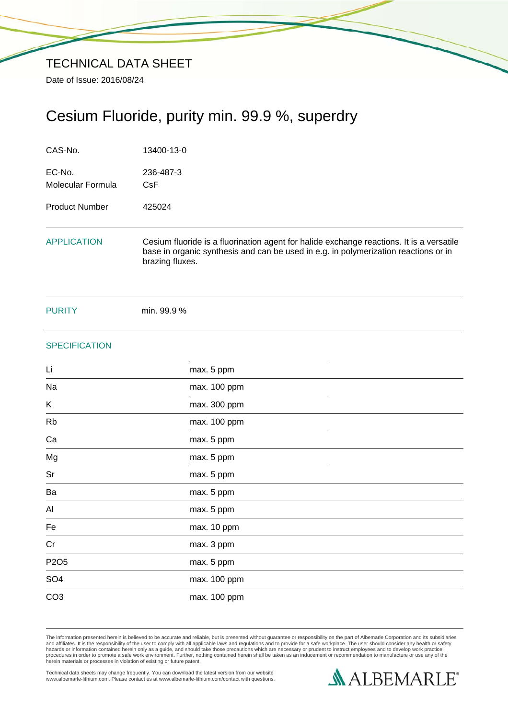# Cesium Fluoride, purity min. 99.9 %, superdry

| CAS-No.                     | 13400-13-0<br>236-487-3<br>CsF                                                                                                                                                                     |  |  |
|-----------------------------|----------------------------------------------------------------------------------------------------------------------------------------------------------------------------------------------------|--|--|
| EC-No.<br>Molecular Formula |                                                                                                                                                                                                    |  |  |
| <b>Product Number</b>       | 425024                                                                                                                                                                                             |  |  |
| <b>APPLICATION</b>          | Cesium fluoride is a fluorination agent for halide exchange reactions. It is a versatile<br>base in organic synthesis and can be used in e.g. in polymerization reactions or in<br>brazing fluxes. |  |  |
| <b>PURITY</b>               | min. 99.9 %                                                                                                                                                                                        |  |  |
| <b>SPECIFICATION</b>        |                                                                                                                                                                                                    |  |  |
| Li                          | max. 5 ppm                                                                                                                                                                                         |  |  |
| Na                          | max. 100 ppm                                                                                                                                                                                       |  |  |
| Κ                           | max. 300 ppm                                                                                                                                                                                       |  |  |
| <b>Rb</b>                   | max. 100 ppm                                                                                                                                                                                       |  |  |
| Ca                          | max. 5 ppm                                                                                                                                                                                         |  |  |
| Mg                          | max. 5 ppm                                                                                                                                                                                         |  |  |
| Sr                          | max. 5 ppm                                                                                                                                                                                         |  |  |
| Ba                          | max. 5 ppm                                                                                                                                                                                         |  |  |
| Al                          | max. 5 ppm                                                                                                                                                                                         |  |  |
| Fe                          | max. 10 ppm                                                                                                                                                                                        |  |  |
| Cr                          | max. 3 ppm                                                                                                                                                                                         |  |  |
| P2O <sub>5</sub>            | max. 5 ppm                                                                                                                                                                                         |  |  |
| SO <sub>4</sub>             | max. 100 ppm                                                                                                                                                                                       |  |  |
| CO <sub>3</sub>             | max. 100 ppm                                                                                                                                                                                       |  |  |

The information presented herein is believed to be accurate and reliable, but is presented without guarantee or responsibility on the part of Albemarle Corporation and its subsidiaries<br>and affiliates. It is the responsibil

Technical data sheets may change frequently. You can download the latest version from our website www.albemarle-lithium.com. Please contact us at www.albemarle-lithium.com/contact with questions.

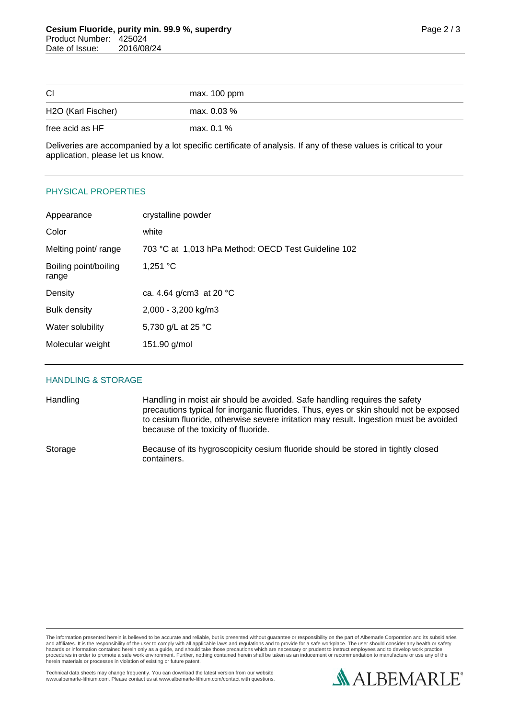| <b>CI</b>          | max. 100 ppm |
|--------------------|--------------|
| H2O (Karl Fischer) | max. 0.03 %  |
| free acid as HF    | max. $0.1\%$ |

Deliveries are accompanied by a lot specific certificate of analysis. If any of these values is critical to your application, please let us know.

# PHYSICAL PROPERTIES

| Appearance                     | crystalline powder                                  |
|--------------------------------|-----------------------------------------------------|
| Color                          | white                                               |
| Melting point/ range           | 703 °C at 1,013 hPa Method: OECD Test Guideline 102 |
| Boiling point/boiling<br>range | 1,251 $^{\circ}$ C                                  |
| Density                        | ca. 4.64 g/cm3 at 20 °C                             |
| <b>Bulk density</b>            | 2,000 - 3,200 kg/m3                                 |
| Water solubility               | 5,730 g/L at 25 °C                                  |
| Molecular weight               | 151.90 g/mol                                        |
|                                |                                                     |

#### HANDLING & STORAGE

Handling Handling in moist air should be avoided. Safe handling requires the safety precautions typical for inorganic fluorides. Thus, eyes or skin should not be exposed to cesium fluoride, otherwise severe irritation may result. Ingestion must be avoided because of the toxicity of fluoride.

Storage Because of its hygroscopicity cesium fluoride should be stored in tightly closed containers.

The information presented herein is believed to be accurate and reliable, but is presented without guarantee or responsibility on the part of Albemarle Corporation and its subsidiaries<br>and affiliates. It is the responsibil hazards or information contained herein only as a guide, and should take those precautions which are necessary or prudent to instruct employees and to develop work practice<br>procedures in order to promote a safe work enviro

Technical data sheets may change frequently. You can download the latest version from our website www.albemarle-lithium.com. Please contact us at www.albemarle-lithium.com/contact with questions.